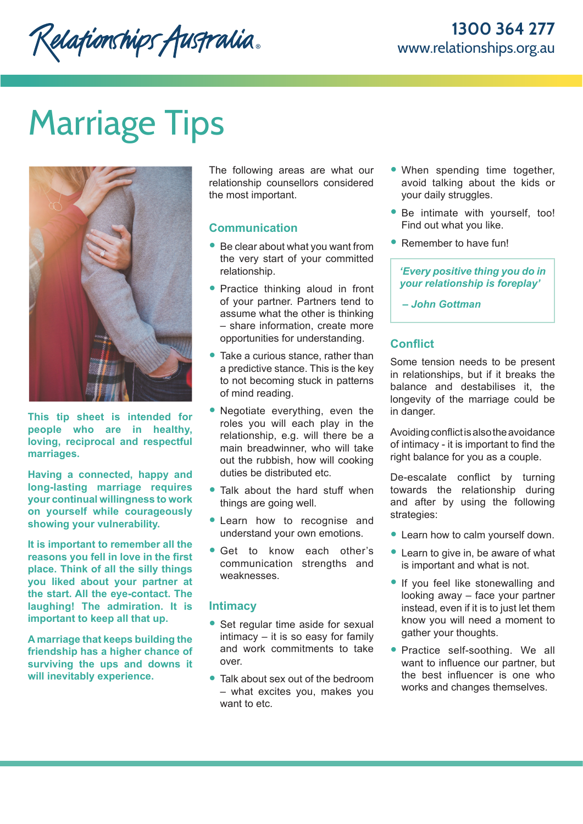# Marriage Tips



**This tip sheet is intended for people who are in healthy, loving, reciprocal and respectful marriages.** 

**Having a connected, happy and long-lasting marriage requires your continual willingness to work on yourself while courageously showing your vulnerability.** 

**It is important to remember all the reasons you fell in love in the first place. Think of all the silly things you liked about your partner at the start. All the eye-contact. The laughing! The admiration. It is important to keep all that up.**

**A marriage that keeps building the friendship has a higher chance of surviving the ups and downs it will inevitably experience.** 

The following areas are what our relationship counsellors considered the most important.

## **Communication**

- Be clear about what you want from the very start of your committed relationship.
- Practice thinking aloud in front of your partner. Partners tend to assume what the other is thinking – share information, create more opportunities for understanding.
- Take a curious stance, rather than a predictive stance. This is the key to not becoming stuck in patterns of mind reading.
- Negotiate everything, even the roles you will each play in the relationship, e.g. will there be a main breadwinner, who will take out the rubbish, how will cooking duties be distributed etc.
- Talk about the hard stuff when things are going well.
- Learn how to recognise and understand your own emotions.
- Get to know each other's communication strengths and weaknesses.

### **Intimacy**

- Set regular time aside for sexual intimacy – it is so easy for family and work commitments to take over.
- Talk about sex out of the bedroom – what excites you, makes you want to etc.
- When spending time together, avoid talking about the kids or your daily struggles.
- Be intimate with yourself, too! Find out what you like.
- Remember to have fun!

*'Every positive thing you do in your relationship is foreplay'*

 *– John Gottman*

# **Conflict**

Some tension needs to be present in relationships, but if it breaks the balance and destabilises it, the longevity of the marriage could be in danger.

Avoiding conflict is also the avoidance of intimacy - it is important to find the right balance for you as a couple.

De-escalate conflict by turning towards the relationship during and after by using the following strategies:

- Learn how to calm yourself down.
- Learn to give in, be aware of what is important and what is not.
- If you feel like stonewalling and looking away – face your partner instead, even if it is to just let them know you will need a moment to gather your thoughts.
- Practice self-soothing. We all want to influence our partner, but the best influencer is one who works and changes themselves.